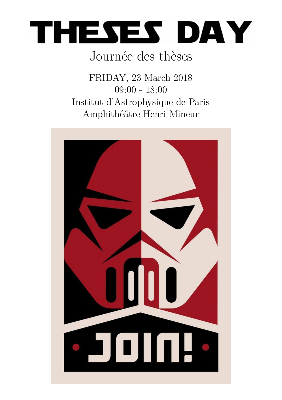

# Journée des thèses

FRIDAY, 23 March 2018 09:00 - 18:00 Institut d'Astrophysique de Paris Amphithéâtre Henri Mineur

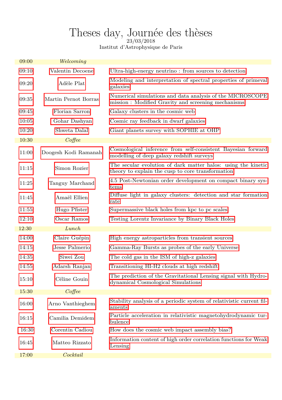# <span id="page-1-0"></span>Theses day, Journée des thèses

Institut d'Astrophysique de Paris

| 09:00 | Welcoming            |                                                                                                                    |
|-------|----------------------|--------------------------------------------------------------------------------------------------------------------|
| 09:10 | Valentin Decoene     | Ultra-high-energy neutrino: from sources to detection                                                              |
| 09:20 | Adèle Plat           | Modeling and interpretation of spectral properties of primeval<br>galaxies                                         |
| 09:35 | Martin Pernot Borras | Numerical simulations and data analysis of the MICROSCOPE<br>mission : Modified Gravity and screening mechanisms   |
| 09:45 | Florian Sarron       | Galaxy clusters in the cosmic web                                                                                  |
| 10:05 | Gohar Dashyan        | Cosmic ray feedback in dwarf galaxies                                                                              |
| 10.20 | Shweta Dalal         | Giant planets survey with SOPHIE at OHP                                                                            |
| 10:30 | $Cof$ fee            |                                                                                                                    |
| 11:00 | Doogesh Kodi Ramanah | Cosmological inference from self-consistent Bayesian forward<br>modelling of deep galaxy redshift surveys          |
| 11:15 | Simon Rozier         | The secular evolution of dark matter halos: using the kinetic<br>theory to explain the cusp to core transformation |
| 11:25 | Tanguy Marchand      | 4.5 Post-Newtonian order development on compact binary sys-<br>tems                                                |
| 11:45 | Amaël Ellien         | Diffuse light in galaxy clusters: detection and star formation<br>rate                                             |
| 11:55 | Hugo Pfister         | Supermassive black holes from kpc to pc scales                                                                     |
| 12:10 | Oscar Ramos          | Testing Lorentz Invariance by Binary Black Holes                                                                   |
| 12:30 | Lunch                |                                                                                                                    |
| 14:00 | Claire Guépin        | High energy astroparticles from transient sources                                                                  |
| 14:15 | Jesse Palmerio       | Gamma-Ray Bursts as probes of the early Universe                                                                   |
| 14:35 | Siwei Zou            | The cold gas in the ISM of high-z galaxies                                                                         |
| 14:55 | Adarsh Ranjan        | Transitioning HI-H2 clouds at high redshift                                                                        |
| 15:10 | Céline Gouin         | The prediction of the Gravitational Lensing signal with Hydro-<br>dynamical Cosmological Simulations               |
| 15:30 | $Cof$ fee            |                                                                                                                    |
| 16:00 | Arno Vanthieghem     | Stability analysis of a periodic system of relativistic current fil-<br>aments                                     |
| 16:15 | Camilia Demidem      | Particle acceleration in relativistic magnetohydrodynamic tur-<br>bulence                                          |
| 16:30 | Corentin Cadiou      | How does the cosmic web impact assembly bias?                                                                      |
| 16:45 | Matteo Rizzato       | Information content of high order correlation functions for Weak<br>Lensing                                        |
| 17:00 | Cocktail             |                                                                                                                    |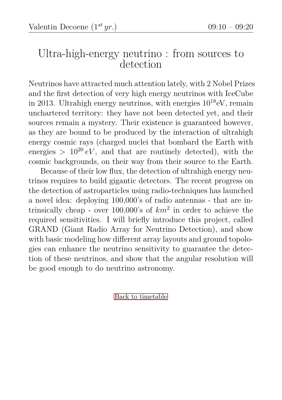#### <span id="page-2-0"></span>Ultra-high-energy neutrino : from sources to detection

Neutrinos have attracted much attention lately, with 2 Nobel Prizes and the first detection of very high energy neutrinos with IceCube in 2013. Ultrahigh energy neutrinos, with energies  $10^{18}$ eV, remain unchartered territory: they have not been detected yet, and their sources remain a mystery. Their existence is guaranteed however, as they are bound to be produced by the interaction of ultrahigh energy cosmic rays (charged nuclei that bombard the Earth with energies  $> 10^{20} eV$ , and that are routinely detected), with the cosmic backgrounds, on their way from their source to the Earth.

Because of their low flux, the detection of ultrahigh energy neutrinos requires to build gigantic detectors. The recent progress on the detection of astroparticles using radio-techniques has launched a novel idea: deploying 100,000's of radio antennas - that are intrinsically cheap - over 100,000's of *km*<sup>2</sup> in order to achieve the required sensitivities. I will briefly introduce this project, called GRAND (Giant Radio Array for Neutrino Detection), and show with basic modeling how different array layouts and ground topologies can enhance the neutrino sensitivity to guarantee the detection of these neutrinos, and show that the angular resolution will be good enough to do neutrino astronomy.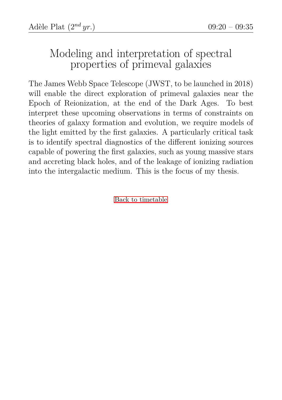# <span id="page-3-0"></span>Modeling and interpretation of spectral properties of primeval galaxies

The James Webb Space Telescope (JWST, to be launched in 2018) will enable the direct exploration of primeval galaxies near the Epoch of Reionization, at the end of the Dark Ages. To best interpret these upcoming observations in terms of constraints on theories of galaxy formation and evolution, we require models of the light emitted by the first galaxies. A particularly critical task is to identify spectral diagnostics of the different ionizing sources capable of powering the first galaxies, such as young massive stars and accreting black holes, and of the leakage of ionizing radiation into the intergalactic medium. This is the focus of my thesis.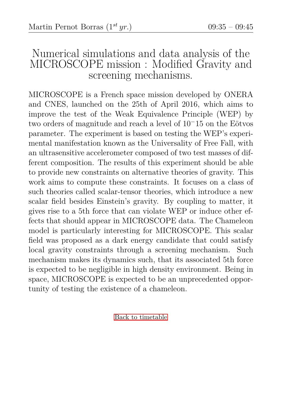#### <span id="page-4-0"></span>Numerical simulations and data analysis of the MICROSCOPE mission : Modified Gravity and screening mechanisms.

MICROSCOPE is a French space mission developed by ONERA and CNES, launched on the 25th of April 2016, which aims to improve the test of the Weak Equivalence Principle (WEP) by two orders of magnitude and reach a level of  $10^-15$  on the Eötvos parameter. The experiment is based on testing the WEP's experimental manifestation known as the Universality of Free Fall, with an ultrasensitive accelerometer composed of two test masses of different composition. The results of this experiment should be able to provide new constraints on alternative theories of gravity. This work aims to compute these constraints. It focuses on a class of such theories called scalar-tensor theories, which introduce a new scalar field besides Einstein's gravity. By coupling to matter, it gives rise to a 5th force that can violate WEP or induce other effects that should appear in MICROSCOPE data. The Chameleon model is particularly interesting for MICROSCOPE. This scalar field was proposed as a dark energy candidate that could satisfy local gravity constraints through a screening mechanism. Such mechanism makes its dynamics such, that its associated 5th force is expected to be negligible in high density environment. Being in space, MICROSCOPE is expected to be an unprecedented opportunity of testing the existence of a chameleon.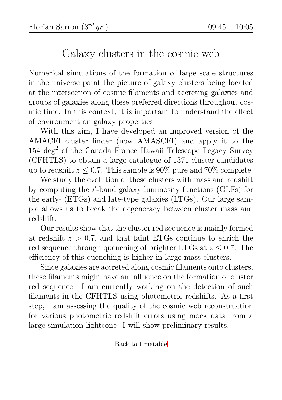# <span id="page-5-0"></span>Galaxy clusters in the cosmic web

Numerical simulations of the formation of large scale structures in the universe paint the picture of galaxy clusters being located at the intersection of cosmic filaments and accreting galaxies and groups of galaxies along these preferred directions throughout cosmic time. In this context, it is important to understand the effect of environment on galaxy properties.

With this aim, I have developed an improved version of the AMACFI cluster finder (now AMASCFI) and apply it to the  $154 \text{ deg}^2$  of the Canada France Hawaii Telescope Legacy Survey (CFHTLS) to obtain a large catalogue of 1371 cluster candidates up to redshift  $z \leq 0.7$ . This sample is 90% pure and 70% complete.

We study the evolution of these clusters with mass and redshift by computing the *i*'-band galaxy luminosity functions (GLFs) for the early- (ETGs) and late-type galaxies (LTGs). Our large sample allows us to break the degeneracy between cluster mass and redshift.

Our results show that the cluster red sequence is mainly formed at redshift  $z > 0.7$ , and that faint ETGs continue to enrich the red sequence through quenching of brighter LTGs at *z* ≤ 0*.*7. The efficiency of this quenching is higher in large-mass clusters.

Since galaxies are accreted along cosmic filaments onto clusters, these filaments might have an influence on the formation of cluster red sequence. I am currently working on the detection of such filaments in the CFHTLS using photometric redshifts. As a first step, I am assessing the quality of the cosmic web reconstruction for various photometric redshift errors using mock data from a large simulation lightcone. I will show preliminary results.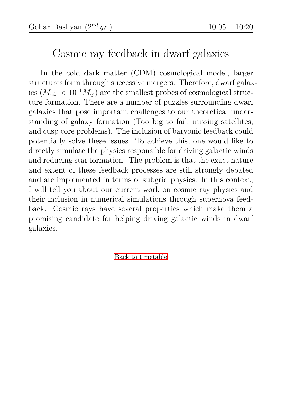# <span id="page-6-0"></span>Cosmic ray feedback in dwarf galaxies

In the cold dark matter (CDM) cosmological model, larger structures form through successive mergers. Therefore, dwarf galaxies  $(M_{vir} < 10^{11} M_{\odot})$  are the smallest probes of cosmological structure formation. There are a number of puzzles surrounding dwarf galaxies that pose important challenges to our theoretical understanding of galaxy formation (Too big to fail, missing satellites, and cusp core problems). The inclusion of baryonic feedback could potentially solve these issues. To achieve this, one would like to directly simulate the physics responsible for driving galactic winds and reducing star formation. The problem is that the exact nature and extent of these feedback processes are still strongly debated and are implemented in terms of subgrid physics. In this context, I will tell you about our current work on cosmic ray physics and their inclusion in numerical simulations through supernova feedback. Cosmic rays have several properties which make them a promising candidate for helping driving galactic winds in dwarf galaxies.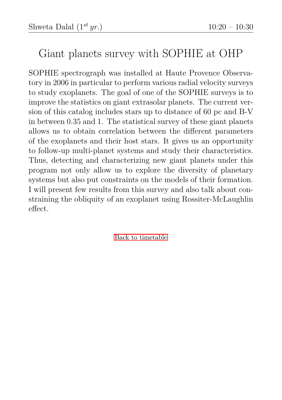# <span id="page-7-0"></span>Giant planets survey with SOPHIE at OHP

SOPHIE spectrograph was installed at Haute Provence Observatory in 2006 in particular to perform various radial velocity surveys to study exoplanets. The goal of one of the SOPHIE surveys is to improve the statistics on giant extrasolar planets. The current version of this catalog includes stars up to distance of 60 pc and B-V in between 0.35 and 1. The statistical survey of these giant planets allows us to obtain correlation between the different parameters of the exoplanets and their host stars. It gives us an opportunity to follow-up multi-planet systems and study their characteristics. Thus, detecting and characterizing new giant planets under this program not only allow us to explore the diversity of planetary systems but also put constraints on the models of their formation. I will present few results from this survey and also talk about constraining the obliquity of an exoplanet using Rossiter-McLaughlin effect.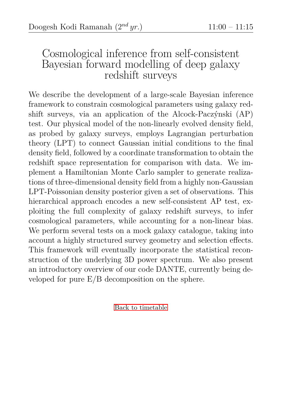#### <span id="page-8-0"></span>Cosmological inference from self-consistent Bayesian forward modelling of deep galaxy redshift surveys

We describe the development of a large-scale Bayesian inference framework to constrain cosmological parameters using galaxy redshift surveys, via an application of the Alcock-Paczýnski (AP) test. Our physical model of the non-linearly evolved density field, as probed by galaxy surveys, employs Lagrangian perturbation theory (LPT) to connect Gaussian initial conditions to the final density field, followed by a coordinate transformation to obtain the redshift space representation for comparison with data. We implement a Hamiltonian Monte Carlo sampler to generate realizations of three-dimensional density field from a highly non-Gaussian LPT-Poissonian density posterior given a set of observations. This hierarchical approach encodes a new self-consistent AP test, exploiting the full complexity of galaxy redshift surveys, to infer cosmological parameters, while accounting for a non-linear bias. We perform several tests on a mock galaxy catalogue, taking into account a highly structured survey geometry and selection effects. This framework will eventually incorporate the statistical reconstruction of the underlying 3D power spectrum. We also present an introductory overview of our code DANTE, currently being developed for pure E/B decomposition on the sphere.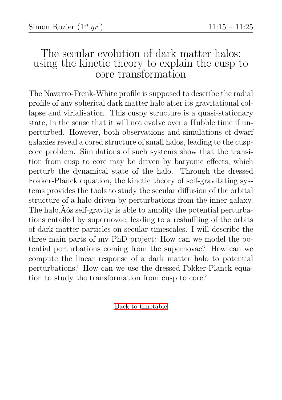#### <span id="page-9-0"></span>The secular evolution of dark matter halos: using the kinetic theory to explain the cusp to core transformation

The Navarro-Frenk-White profile is supposed to describe the radial profile of any spherical dark matter halo after its gravitational collapse and virialisation. This cuspy structure is a quasi-stationary state, in the sense that it will not evolve over a Hubble time if unperturbed. However, both observations and simulations of dwarf galaxies reveal a cored structure of small halos, leading to the cuspcore problem. Simulations of such systems show that the transition from cusp to core may be driven by baryonic effects, which perturb the dynamical state of the halo. Through the dressed Fokker-Planck equation, the kinetic theory of self-gravitating systems provides the tools to study the secular diffusion of the orbital structure of a halo driven by perturbations from the inner galaxy. The halo, $\ddot{A}$  os self-gravity is able to amplify the potential perturbations exhibits. tions entailed by supernovae, leading to a reshuffling of the orbits of dark matter particles on secular timescales. I will describe the three main parts of my PhD project: How can we model the potential perturbations coming from the supernovae? How can we compute the linear response of a dark matter halo to potential perturbations? How can we use the dressed Fokker-Planck equation to study the transformation from cusp to core?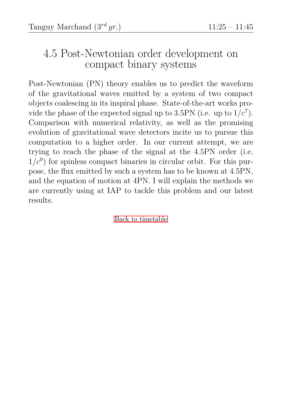# <span id="page-10-0"></span>4.5 Post-Newtonian order development on compact binary systems

Post-Newtonian (PN) theory enables us to predict the waveform of the gravitational waves emitted by a system of two compact objects coalescing in its inspiral phase. State-of-the-art works provide the phase of the expected signal up to  $3.5\text{PN}$  (i.e. up to  $1/c^7$ ). Comparison with numerical relativity, as well as the promising evolution of gravitational wave detectors incite us to pursue this computation to a higher order. In our current attempt, we are trying to reach the phase of the signal at the 4.5PN order (i.e.  $1/c<sup>9</sup>$  for spinless compact binaries in circular orbit. For this purpose, the flux emitted by such a system has to be known at 4.5PN, and the equation of motion at 4PN. I will explain the methods we are currently using at IAP to tackle this problem and our latest results.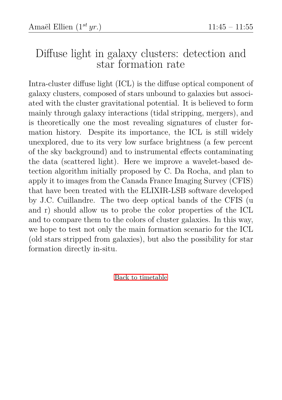# <span id="page-11-0"></span>Diffuse light in galaxy clusters: detection and star formation rate

Intra-cluster diffuse light (ICL) is the diffuse optical component of galaxy clusters, composed of stars unbound to galaxies but associated with the cluster gravitational potential. It is believed to form mainly through galaxy interactions (tidal stripping, mergers), and is theoretically one the most revealing signatures of cluster formation history. Despite its importance, the ICL is still widely unexplored, due to its very low surface brightness (a few percent of the sky background) and to instrumental effects contaminating the data (scattered light). Here we improve a wavelet-based detection algorithm initially proposed by C. Da Rocha, and plan to apply it to images from the Canada France Imaging Survey (CFIS) that have been treated with the ELIXIR-LSB software developed by J.C. Cuillandre. The two deep optical bands of the CFIS (u and r) should allow us to probe the color properties of the ICL and to compare them to the colors of cluster galaxies. In this way, we hope to test not only the main formation scenario for the ICL (old stars stripped from galaxies), but also the possibility for star formation directly in-situ.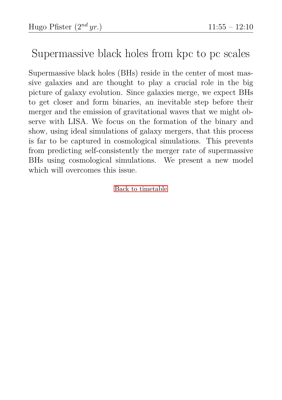### <span id="page-12-0"></span>Supermassive black holes from kpc to pc scales

Supermassive black holes (BHs) reside in the center of most massive galaxies and are thought to play a crucial role in the big picture of galaxy evolution. Since galaxies merge, we expect BHs to get closer and form binaries, an inevitable step before their merger and the emission of gravitational waves that we might observe with LISA. We focus on the formation of the binary and show, using ideal simulations of galaxy mergers, that this process is far to be captured in cosmological simulations. This prevents from predicting self-consistently the merger rate of supermassive BHs using cosmological simulations. We present a new model which will overcomes this issue.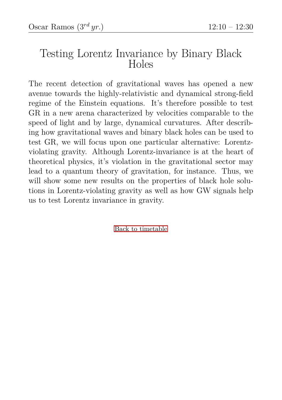#### <span id="page-13-0"></span>Testing Lorentz Invariance by Binary Black Holes

The recent detection of gravitational waves has opened a new avenue towards the highly-relativistic and dynamical strong-field regime of the Einstein equations. It's therefore possible to test GR in a new arena characterized by velocities comparable to the speed of light and by large, dynamical curvatures. After describing how gravitational waves and binary black holes can be used to test GR, we will focus upon one particular alternative: Lorentzviolating gravity. Although Lorentz-invariance is at the heart of theoretical physics, it's violation in the gravitational sector may lead to a quantum theory of gravitation, for instance. Thus, we will show some new results on the properties of black hole solutions in Lorentz-violating gravity as well as how GW signals help us to test Lorentz invariance in gravity.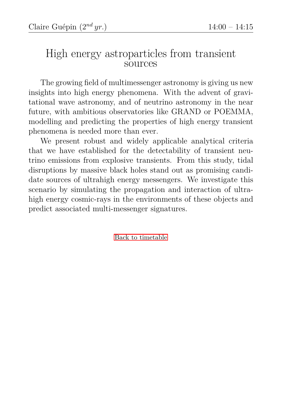#### <span id="page-14-0"></span>High energy astroparticles from transient sources

The growing field of multimessenger astronomy is giving us new insights into high energy phenomena. With the advent of gravitational wave astronomy, and of neutrino astronomy in the near future, with ambitious observatories like GRAND or POEMMA, modelling and predicting the properties of high energy transient phenomena is needed more than ever.

We present robust and widely applicable analytical criteria that we have established for the detectability of transient neutrino emissions from explosive transients. From this study, tidal disruptions by massive black holes stand out as promising candidate sources of ultrahigh energy messengers. We investigate this scenario by simulating the propagation and interaction of ultrahigh energy cosmic-rays in the environments of these objects and predict associated multi-messenger signatures.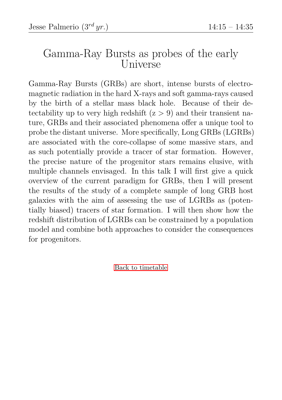#### <span id="page-15-0"></span>Gamma-Ray Bursts as probes of the early Universe

Gamma-Ray Bursts (GRBs) are short, intense bursts of electromagnetic radiation in the hard X-rays and soft gamma-rays caused by the birth of a stellar mass black hole. Because of their detectability up to very high redshift  $(z > 9)$  and their transient nature, GRBs and their associated phenomena offer a unique tool to probe the distant universe. More specifically, Long GRBs (LGRBs) are associated with the core-collapse of some massive stars, and as such potentially provide a tracer of star formation. However, the precise nature of the progenitor stars remains elusive, with multiple channels envisaged. In this talk I will first give a quick overview of the current paradigm for GRBs, then I will present the results of the study of a complete sample of long GRB host galaxies with the aim of assessing the use of LGRBs as (potentially biased) tracers of star formation. I will then show how the redshift distribution of LGRBs can be constrained by a population model and combine both approaches to consider the consequences for progenitors.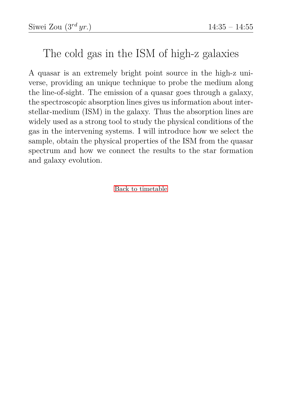# <span id="page-16-0"></span>The cold gas in the ISM of high-z galaxies

A quasar is an extremely bright point source in the high-z universe, providing an unique technique to probe the medium along the line-of-sight. The emission of a quasar goes through a galaxy, the spectroscopic absorption lines gives us information about interstellar-medium (ISM) in the galaxy. Thus the absorption lines are widely used as a strong tool to study the physical conditions of the gas in the intervening systems. I will introduce how we select the sample, obtain the physical properties of the ISM from the quasar spectrum and how we connect the results to the star formation and galaxy evolution.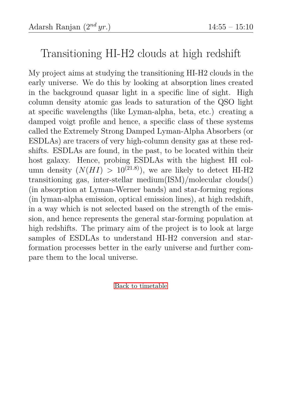# <span id="page-17-0"></span>Transitioning HI-H2 clouds at high redshift

My project aims at studying the transitioning HI-H2 clouds in the early universe. We do this by looking at absorption lines created in the background quasar light in a specific line of sight. High column density atomic gas leads to saturation of the QSO light at specific wavelengths (like Lyman-alpha, beta, etc.) creating a damped voigt profile and hence, a specific class of these systems called the Extremely Strong Damped Lyman-Alpha Absorbers (or ESDLAs) are tracers of very high-column density gas at these redshifts. ESDLAs are found, in the past, to be located within their host galaxy. Hence, probing ESDLAs with the highest HI column density  $(N(HI) > 10^{(21.8)})$ , we are likely to detect HI-H2 transitioning gas, inter-stellar medium(ISM)/molecular clouds() (in absorption at Lyman-Werner bands) and star-forming regions (in lyman-alpha emission, optical emission lines), at high redshift, in a way which is not selected based on the strength of the emission, and hence represents the general star-forming population at high redshifts. The primary aim of the project is to look at large samples of ESDLAs to understand HI-H2 conversion and starformation processes better in the early universe and further compare them to the local universe.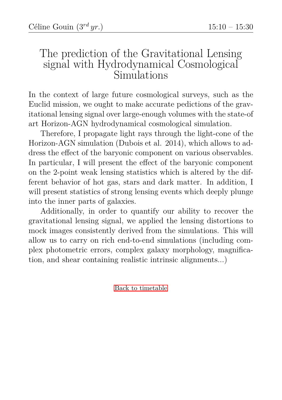#### <span id="page-18-0"></span>The prediction of the Gravitational Lensing signal with Hydrodynamical Cosmological Simulations

In the context of large future cosmological surveys, such as the Euclid mission, we ought to make accurate pedictions of the gravitational lensing signal over large-enough volumes with the state-of art Horizon-AGN hydrodynamical cosmological simulation.

Therefore, I propagate light rays through the light-cone of the Horizon-AGN simulation (Dubois et al. 2014), which allows to address the effect of the baryonic component on various observables. In particular, I will present the effect of the baryonic component on the 2-point weak lensing statistics which is altered by the different behavior of hot gas, stars and dark matter. In addition, I will present statistics of strong lensing events which deeply plunge into the inner parts of galaxies.

Additionally, in order to quantify our ability to recover the gravitational lensing signal, we applied the lensing distortions to mock images consistently derived from the simulations. This will allow us to carry on rich end-to-end simulations (including complex photometric errors, complex galaxy morphology, magnification, and shear containing realistic intrinsic alignments...)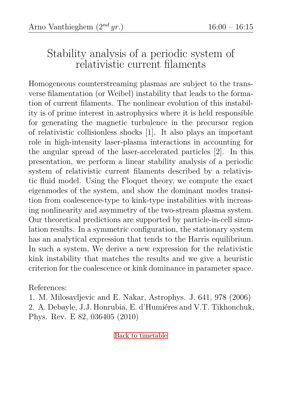# <span id="page-19-0"></span>Stability analysis of a periodic system of relativistic current filaments

Homogeneous counterstreaming plasmas are subject to the transverse filamentation (or Weibel) instability that leads to the formation of current filaments. The nonlinear evolution of this instability is of prime interest in astrophysics where it is held responsible for generating the magnetic turbulence in the precursor region of relativistic collisionless shocks [1]. It also plays an important role in high-intensity laser-plasma interactions in accounting for the angular spread of the laser-accelerated particles [2]. In this presentation, we perform a linear stability analysis of a periodic system of relativistic current filaments described by a relativistic fluid model. Using the Floquet theory, we compute the exact eigenmodes of the system, and show the dominant modes transition from coalescence-type to kink-type instabilities with increasing nonlinearity and asymmetry of the two-stream plasma system. Our theoretical predictions are supported by particle-in-cell simulation results. In a symmetric configuration, the stationary system has an analytical expression that tends to the Harris equilibrium. In such a system, We derive a new expression for the relativistic kink instability that matches the results and we give a heuristic criterion for the coalescence or kink dominance in parameter space.

References:

1. M. Milosavljevic and E. Nakar, Astrophys. J. 641, 978 (2006) 2. A. Debayle, J.J. Honrubia, E. d'Humiéres and V.T. Tikhonchuk, Phys. Rev. E 82, 036405 (2010)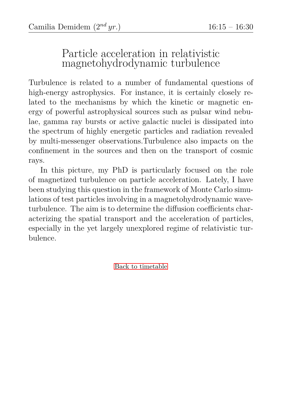#### <span id="page-20-0"></span>Particle acceleration in relativistic magnetohydrodynamic turbulence

Turbulence is related to a number of fundamental questions of high-energy astrophysics. For instance, it is certainly closely related to the mechanisms by which the kinetic or magnetic energy of powerful astrophysical sources such as pulsar wind nebulae, gamma ray bursts or active galactic nuclei is dissipated into the spectrum of highly energetic particles and radiation revealed by multi-messenger observations.Turbulence also impacts on the confinement in the sources and then on the transport of cosmic rays.

In this picture, my PhD is particularly focused on the role of magnetized turbulence on particle acceleration. Lately, I have been studying this question in the framework of Monte Carlo simulations of test particles involving in a magnetohydrodynamic waveturbulence. The aim is to determine the diffusion coefficients characterizing the spatial transport and the acceleration of particles, especially in the yet largely unexplored regime of relativistic turbulence.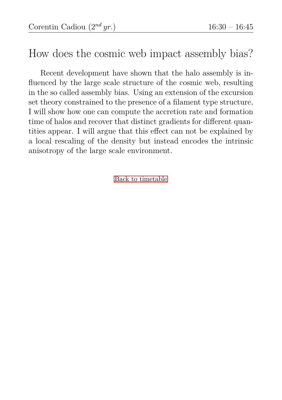#### <span id="page-21-0"></span>How does the cosmic web impact assembly bias?

Recent development have shown that the halo assembly is influenced by the large scale structure of the cosmic web, resulting in the so called assembly bias. Using an extension of the excursion set theory constrained to the presence of a filament type structure, I will show how one can compute the accretion rate and formation time of halos and recover that distinct gradients for different quantities appear. I will argue that this effect can not be explained by a local rescaling of the density but instead encodes the intrinsic anisotropy of the large scale environment.